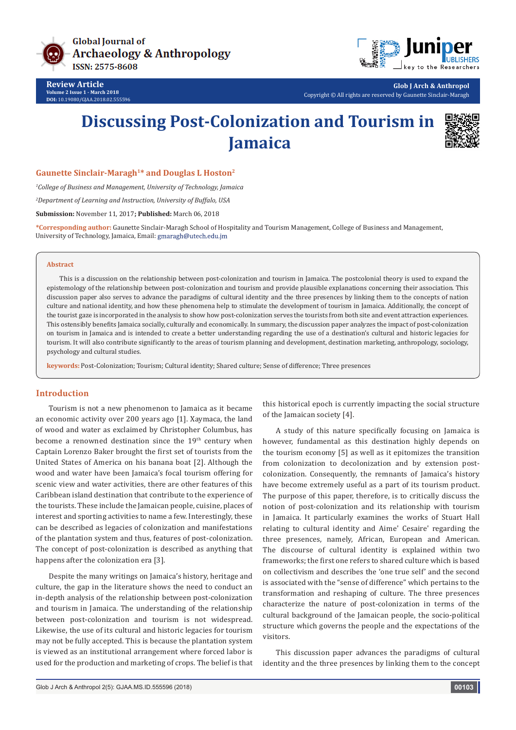

**Review Article Volume 2 Issue 1 - March 2018 DOI:** [10.19080/GJAA.2018.02.555596](http://dx.doi.org/10.19080/GJAA.2018.02.555596)



**Glob J Arch & Anthropol** Copyright © All rights are reserved by Gaunette Sinclair-Maragh

# **Discussing Post-Colonization and Tourism in Jamaica**



**Gaunette Sinclair-Maragh1\* and Douglas L Hoston2**

*1 College of Business and Management, University of Technology, Jamaica*

*2 Department of Learning and Instruction, University of Buffalo, USA*

**Submission:** November 11, 2017**; Published:** March 06, 2018

**\*Corresponding author:** Gaunette Sinclair-Maragh School of Hospitality and Tourism Management, College of Business and Management, University of Technology, Jamaica, Email: gmaragh@utech.edu.jm

#### **Abstract**

This is a discussion on the relationship between post-colonization and tourism in Jamaica. The postcolonial theory is used to expand the epistemology of the relationship between post-colonization and tourism and provide plausible explanations concerning their association. This discussion paper also serves to advance the paradigms of cultural identity and the three presences by linking them to the concepts of nation culture and national identity, and how these phenomena help to stimulate the development of tourism in Jamaica. Additionally, the concept of the tourist gaze is incorporated in the analysis to show how post-colonization serves the tourists from both site and event attraction experiences. This ostensibly benefits Jamaica socially, culturally and economically. In summary, the discussion paper analyzes the impact of post-colonization on tourism in Jamaica and is intended to create a better understanding regarding the use of a destination's cultural and historic legacies for tourism. It will also contribute significantly to the areas of tourism planning and development, destination marketing, anthropology, sociology, psychology and cultural studies.

**keywords:** Post-Colonization; Tourism; Cultural identity; Shared culture; Sense of difference; Three presences

# **Introduction**

Tourism is not a new phenomenon to Jamaica as it became an economic activity over 200 years ago [1]. Xaymaca, the land of wood and water as exclaimed by Christopher Columbus, has become a renowned destination since the 19<sup>th</sup> century when Captain Lorenzo Baker brought the first set of tourists from the United States of America on his banana boat [2]. Although the wood and water have been Jamaica's focal tourism offering for scenic view and water activities, there are other features of this Caribbean island destination that contribute to the experience of the tourists. These include the Jamaican people, cuisine, places of interest and sporting activities to name a few. Interestingly, these can be described as legacies of colonization and manifestations of the plantation system and thus, features of post-colonization. The concept of post-colonization is described as anything that happens after the colonization era [3].

Despite the many writings on Jamaica's history, heritage and culture, the gap in the literature shows the need to conduct an in-depth analysis of the relationship between post-colonization and tourism in Jamaica. The understanding of the relationship between post-colonization and tourism is not widespread. Likewise, the use of its cultural and historic legacies for tourism may not be fully accepted. This is because the plantation system is viewed as an institutional arrangement where forced labor is used for the production and marketing of crops. The belief is that

this historical epoch is currently impacting the social structure of the Jamaican society [4].

A study of this nature specifically focusing on Jamaica is however, fundamental as this destination highly depends on the tourism economy [5] as well as it epitomizes the transition from colonization to decolonization and by extension postcolonization. Consequently, the remnants of Jamaica's history have become extremely useful as a part of its tourism product. The purpose of this paper, therefore, is to critically discuss the notion of post-colonization and its relationship with tourism in Jamaica. It particularly examines the works of Stuart Hall relating to cultural identity and Aimeʹ Cesaireʹ regarding the three presences, namely, African, European and American. The discourse of cultural identity is explained within two frameworks; the first one refers to shared culture which is based on collectivism and describes the 'one true self' and the second is associated with the "sense of difference" which pertains to the transformation and reshaping of culture. The three presences characterize the nature of post-colonization in terms of the cultural background of the Jamaican people, the socio-political structure which governs the people and the expectations of the visitors.

This discussion paper advances the paradigms of cultural identity and the three presences by linking them to the concept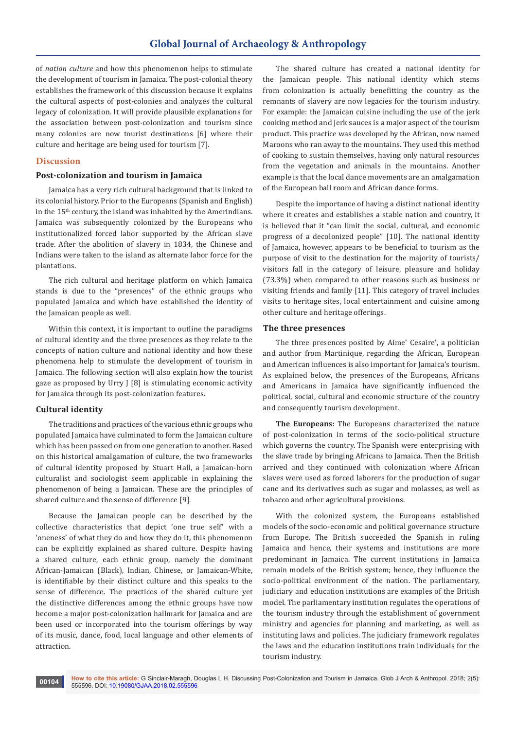of *nation culture* and how this phenomenon helps to stimulate the development of tourism in Jamaica. The post-colonial theory establishes the framework of this discussion because it explains the cultural aspects of post-colonies and analyzes the cultural legacy of colonization. It will provide plausible explanations for the association between post-colonization and tourism since many colonies are now tourist destinations [6] where their culture and heritage are being used for tourism [7].

# **Discussion**

# **Post-colonization and tourism in Jamaica**

Jamaica has a very rich cultural background that is linked to its colonial history. Prior to the Europeans (Spanish and English) in the 15th century, the island was inhabited by the Amerindians. Jamaica was subsequently colonized by the Europeans who institutionalized forced labor supported by the African slave trade. After the abolition of slavery in 1834, the Chinese and Indians were taken to the island as alternate labor force for the plantations.

The rich cultural and heritage platform on which Jamaica stands is due to the "presences" of the ethnic groups who populated Jamaica and which have established the identity of the Jamaican people as well.

Within this context, it is important to outline the paradigms of cultural identity and the three presences as they relate to the concepts of nation culture and national identity and how these phenomena help to stimulate the development of tourism in Jamaica. The following section will also explain how the tourist gaze as proposed by Urry J [8] is stimulating economic activity for Jamaica through its post-colonization features.

## **Cultural identity**

The traditions and practices of the various ethnic groups who populated Jamaica have culminated to form the Jamaican culture which has been passed on from one generation to another. Based on this historical amalgamation of culture, the two frameworks of cultural identity proposed by Stuart Hall, a Jamaican-born culturalist and sociologist seem applicable in explaining the phenomenon of being a Jamaican. These are the principles of shared culture and the sense of difference [9].

Because the Jamaican people can be described by the collective characteristics that depict 'one true self' with a 'oneness' of what they do and how they do it, this phenomenon can be explicitly explained as shared culture. Despite having a shared culture, each ethnic group, namely the dominant African-Jamaican (Black), Indian, Chinese, or Jamaican-White, is identifiable by their distinct culture and this speaks to the sense of difference. The practices of the shared culture yet the distinctive differences among the ethnic groups have now become a major post-colonization hallmark for Jamaica and are been used or incorporated into the tourism offerings by way of its music, dance, food, local language and other elements of attraction.

The shared culture has created a national identity for the Jamaican people. This national identity which stems from colonization is actually benefitting the country as the remnants of slavery are now legacies for the tourism industry. For example: the Jamaican cuisine including the use of the jerk cooking method and jerk sauces is a major aspect of the tourism product. This practice was developed by the African, now named Maroons who ran away to the mountains. They used this method of cooking to sustain themselves, having only natural resources from the vegetation and animals in the mountains. Another example is that the local dance movements are an amalgamation of the European ball room and African dance forms.

Despite the importance of having a distinct national identity where it creates and establishes a stable nation and country, it is believed that it "can limit the social, cultural, and economic progress of a decolonized people" [10]. The national identity of Jamaica, however, appears to be beneficial to tourism as the purpose of visit to the destination for the majority of tourists/ visitors fall in the category of leisure, pleasure and holiday (73.3%) when compared to other reasons such as business or visiting friends and family [11]. This category of travel includes visits to heritage sites, local entertainment and cuisine among other culture and heritage offerings.

#### **The three presences**

The three presences posited by Aimeʹ Cesaireʹ, a politician and author from Martinique, regarding the African, European and American influences is also important for Jamaica's tourism. As explained below, the presences of the Europeans, Africans and Americans in Jamaica have significantly influenced the political, social, cultural and economic structure of the country and consequently tourism development.

**The Europeans:** The Europeans characterized the nature of post-colonization in terms of the socio-political structure which governs the country. The Spanish were enterprising with the slave trade by bringing Africans to Jamaica. Then the British arrived and they continued with colonization where African slaves were used as forced laborers for the production of sugar cane and its derivatives such as sugar and molasses, as well as tobacco and other agricultural provisions.

With the colonized system, the Europeans established models of the socio-economic and political governance structure from Europe. The British succeeded the Spanish in ruling Jamaica and hence, their systems and institutions are more predominant in Jamaica. The current institutions in Jamaica remain models of the British system; hence, they influence the socio-political environment of the nation. The parliamentary, judiciary and education institutions are examples of the British model. The parliamentary institution regulates the operations of the tourism industry through the establishment of government ministry and agencies for planning and marketing, as well as instituting laws and policies. The judiciary framework regulates the laws and the education institutions train individuals for the tourism industry.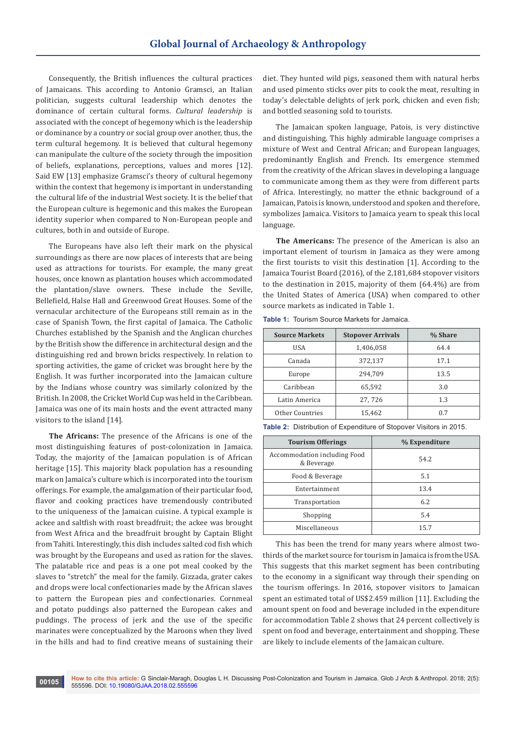Consequently, the British influences the cultural practices of Jamaicans. This according to Antonio Gramsci, an Italian politician, suggests cultural leadership which denotes the dominance of certain cultural forms. *Cultural leadership* is associated with the concept of hegemony which is the leadership or dominance by a country or social group over another, thus, the term cultural hegemony. It is believed that cultural hegemony can manipulate the culture of the society through the imposition of beliefs, explanations, perceptions, values and mores [12]. Said EW [13] emphasize Gramsci's theory of cultural hegemony within the context that hegemony is important in understanding the cultural life of the industrial West society. It is the belief that the European culture is hegemonic and this makes the European identity superior when compared to Non-European people and cultures, both in and outside of Europe.

The Europeans have also left their mark on the physical surroundings as there are now places of interests that are being used as attractions for tourists. For example, the many great houses, once known as plantation houses which accommodated the plantation/slave owners. These include the Seville, Bellefield, Halse Hall and Greenwood Great Houses. Some of the vernacular architecture of the Europeans still remain as in the case of Spanish Town, the first capital of Jamaica. The Catholic Churches established by the Spanish and the Anglican churches by the British show the difference in architectural design and the distinguishing red and brown bricks respectively. In relation to sporting activities, the game of cricket was brought here by the English. It was further incorporated into the Jamaican culture by the Indians whose country was similarly colonized by the British. In 2008, the Cricket World Cup was held in the Caribbean. Jamaica was one of its main hosts and the event attracted many visitors to the island [14].

**The Africans:** The presence of the Africans is one of the most distinguishing features of post-colonization in Jamaica. Today, the majority of the Jamaican population is of African heritage [15]. This majority black population has a resounding mark on Jamaica's culture which is incorporated into the tourism offerings. For example, the amalgamation of their particular food, flavor and cooking practices have tremendously contributed to the uniqueness of the Jamaican cuisine. A typical example is ackee and saltfish with roast breadfruit; the ackee was brought from West Africa and the breadfruit brought by Captain Blight from Tahiti. Interestingly, this dish includes salted cod fish which was brought by the Europeans and used as ration for the slaves. The palatable rice and peas is a one pot meal cooked by the slaves to "stretch" the meal for the family. Gizzada, grater cakes and drops were local confectionaries made by the African slaves to pattern the European pies and confectionaries. Cornmeal and potato puddings also patterned the European cakes and puddings. The process of jerk and the use of the specific marinates were conceptualized by the Maroons when they lived in the hills and had to find creative means of sustaining their

diet. They hunted wild pigs, seasoned them with natural herbs and used pimento sticks over pits to cook the meat, resulting in today's delectable delights of jerk pork, chicken and even fish; and bottled seasoning sold to tourists.

The Jamaican spoken language, Patois, is very distinctive and distinguishing. This highly admirable language comprises a mixture of West and Central African; and European languages, predominantly English and French. Its emergence stemmed from the creativity of the African slaves in developing a language to communicate among them as they were from different parts of Africa. Interestingly, no matter the ethnic background of a Jamaican, Patois is known, understood and spoken and therefore, symbolizes Jamaica. Visitors to Jamaica yearn to speak this local language.

**The Americans:** The presence of the American is also an important element of tourism in Jamaica as they were among the first tourists to visit this destination [1]. According to the Jamaica Tourist Board (2016), of the 2,181,684 stopover visitors to the destination in 2015, majority of them (64.4%) are from the United States of America (USA) when compared to other source markets as indicated in Table 1.

| <b>Source Markets</b> | <b>Stopover Arrivals</b> | % Share |
|-----------------------|--------------------------|---------|
| USA                   | 1,406,058                | 64.4    |
| Canada                | 372,137                  | 17.1    |
| Europe                | 294,709                  | 13.5    |
| Caribbean             | 65,592                   | 3.0     |
| Latin America         | 27,726                   | 1.3     |
| Other Countries       | 15,462                   | 0.7     |

**Table 1:** Tourism Source Markets for Jamaica.

**Table 2:** Distribution of Expenditure of Stopover Visitors in 2015.

| <b>Tourism Offerings</b>                   | % Expenditure |
|--------------------------------------------|---------------|
| Accommodation including Food<br>& Beverage | 54.2          |
| Food & Beverage                            | 5.1           |
| Entertainment                              | 13.4          |
| Transportation                             | 6.2           |
| Shopping                                   | 5.4           |
| Miscellaneous                              | 15.7          |

This has been the trend for many years where almost twothirds of the market source for tourism in Jamaica is from the USA. This suggests that this market segment has been contributing to the economy in a significant way through their spending on the tourism offerings. In 2016, stopover visitors to Jamaican spent an estimated total of US\$2.459 million [11]. Excluding the amount spent on food and beverage included in the expenditure for accommodation Table 2 shows that 24 percent collectively is spent on food and beverage, entertainment and shopping. These are likely to include elements of the Jamaican culture.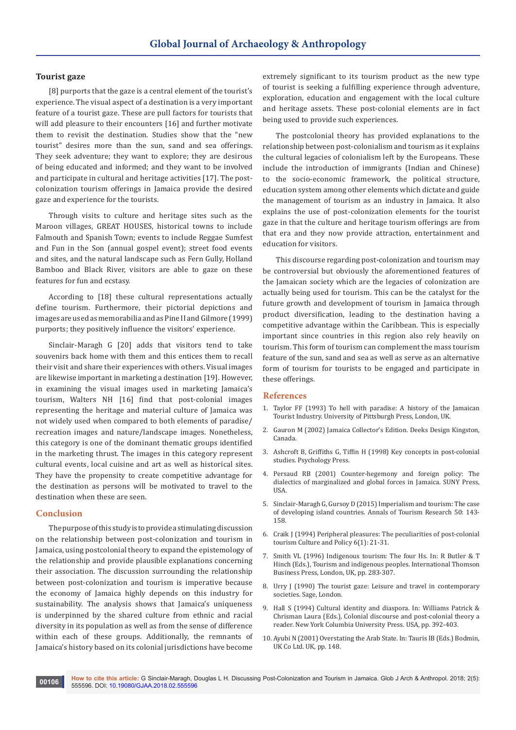#### **Tourist gaze**

[8] purports that the gaze is a central element of the tourist's experience. The visual aspect of a destination is a very important feature of a tourist gaze. These are pull factors for tourists that will add pleasure to their encounters [16] and further motivate them to revisit the destination. Studies show that the "new tourist" desires more than the sun, sand and sea offerings. They seek adventure; they want to explore; they are desirous of being educated and informed; and they want to be involved and participate in cultural and heritage activities [17]. The postcolonization tourism offerings in Jamaica provide the desired gaze and experience for the tourists.

Through visits to culture and heritage sites such as the Maroon villages, GREAT HOUSES, historical towns to include Falmouth and Spanish Town; events to include Reggae Sumfest and Fun in the Son (annual gospel event); street food events and sites, and the natural landscape such as Fern Gully, Holland Bamboo and Black River, visitors are able to gaze on these features for fun and ecstasy.

According to [18] these cultural representations actually define tourism. Furthermore, their pictorial depictions and images are used as memorabilia and as Pine II and Gilmore (1999) purports; they positively influence the visitors' experience.

Sinclair-Maragh G [20] adds that visitors tend to take souvenirs back home with them and this entices them to recall their visit and share their experiences with others. Visual images are likewise important in marketing a destination [19]. However, in examining the visual images used in marketing Jamaica's tourism, Walters NH [16] find that post-colonial images representing the heritage and material culture of Jamaica was not widely used when compared to both elements of paradise/ recreation images and nature/landscape images. Nonetheless, this category is one of the dominant thematic groups identified in the marketing thrust. The images in this category represent cultural events, local cuisine and art as well as historical sites. They have the propensity to create competitive advantage for the destination as persons will be motivated to travel to the destination when these are seen.

## **Conclusion**

The purpose of this study is to provide a stimulating discussion on the relationship between post-colonization and tourism in Jamaica, using postcolonial theory to expand the epistemology of the relationship and provide plausible explanations concerning their association. The discussion surrounding the relationship between post-colonization and tourism is imperative because the economy of Jamaica highly depends on this industry for sustainability. The analysis shows that Jamaica's uniqueness is underpinned by the shared culture from ethnic and racial diversity in its population as well as from the sense of difference within each of these groups. Additionally, the remnants of Jamaica's history based on its colonial jurisdictions have become

extremely significant to its tourism product as the new type of tourist is seeking a fulfilling experience through adventure, exploration, education and engagement with the local culture and heritage assets. These post-colonial elements are in fact being used to provide such experiences.

The postcolonial theory has provided explanations to the relationship between post-colonialism and tourism as it explains the cultural legacies of colonialism left by the Europeans. These include the introduction of immigrants (Indian and Chinese) to the socio-economic framework, the political structure, education system among other elements which dictate and guide the management of tourism as an industry in Jamaica. It also explains the use of post-colonization elements for the tourist gaze in that the culture and heritage tourism offerings are from that era and they now provide attraction, entertainment and education for visitors.

This discourse regarding post-colonization and tourism may be controversial but obviously the aforementioned features of the Jamaican society which are the legacies of colonization are actually being used for tourism. This can be the catalyst for the future growth and development of tourism in Jamaica through product diversification, leading to the destination having a competitive advantage within the Caribbean. This is especially important since countries in this region also rely heavily on tourism. This form of tourism can complement the mass tourism feature of the sun, sand and sea as well as serve as an alternative form of tourism for tourists to be engaged and participate in these offerings.

#### **References**

- 1. [Taylor FF \(1993\) To hell with paradise: A history of the Jamaican](https://www.jstor.org/stable/j.ctt7zw7vx)  [Tourist Industry. University of Pittsburgh Press, London, UK.](https://www.jstor.org/stable/j.ctt7zw7vx)
- 2. Gauron M (2002) Jamaica Collector's Edition. Deeks Design Kingston, Canada.
- 3. Ashcroft B, Griffiths G, Tiffin H (1998) Key concepts in post-colonial studies. Psychology Press.
- 4. Persaud RB (2001) Counter-hegemony and foreign policy: The dialectics of marginalized and global forces in Jamaica. SUNY Press, USA.
- 5. [Sinclair-Maragh G, Gursoy D \(2015\) Imperialism and tourism: The case](https://espace.curtin.edu.au/handle/20.500.11937/8900)  [of developing island countries.](https://espace.curtin.edu.au/handle/20.500.11937/8900) Annals of Tourism Research 50: 143- [158.](https://espace.curtin.edu.au/handle/20.500.11937/8900)
- 6. Craik J (1994) [Peripheral pleasures: The peculiarities of post-colonial](http://www.scielo.org.co/scieloOrg/php/reference.php?pid=S1794-24892006000200006&caller=www.scielo.org.co&lang=en)  [tourism Culture and Policy 6\(1\): 21-31.](http://www.scielo.org.co/scieloOrg/php/reference.php?pid=S1794-24892006000200006&caller=www.scielo.org.co&lang=en)
- 7. Smith VL (1996) Indigenous tourism: The four Hs. In: R Butler & T Hinch (Eds.), Tourism and indigenous peoples. International Thomson Business Press, London, UK, pp. 283-307.
- 8. Urry J (1990) The tourist gaze: Leisure and travel in contemporary societies. Sage, London.
- 9. [Hall S \(1994\) Cultural identity and diaspora. In: Williams Patrick &](https://sites.google.com/site/estesinversos/stuart-hall-cultural-identity-and-diaspora)  [Chrisman Laura \(Eds.\), Colonial discourse and post-colonial theory a](https://sites.google.com/site/estesinversos/stuart-hall-cultural-identity-and-diaspora)  [reader. New York Columbia University Press. USA, pp. 392-403.](https://sites.google.com/site/estesinversos/stuart-hall-cultural-identity-and-diaspora)
- 10. Ayubi N (2001) Overstating the Arab State. In: Tauris IB (Eds.) Bodmin, UK Co Ltd. UK, pp. 148.